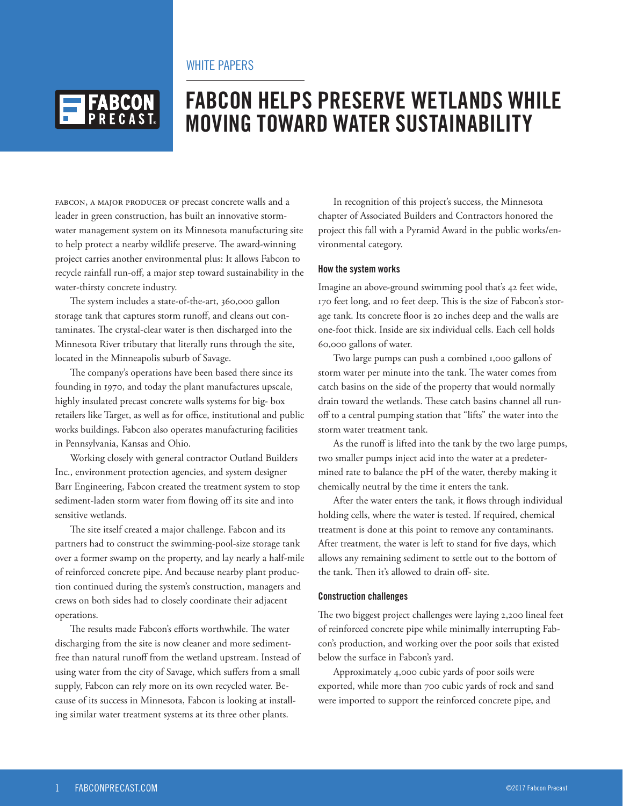## WHITE PAPERS



# **FABCON HELPS PRESERVE WETLANDS WHILE MOVING TOWARD WATER SUSTAINABILITY**

FABCON, A MAJOR PRODUCER OF precast concrete walls and a leader in green construction, has built an innovative stormwater management system on its Minnesota manufacturing site to help protect a nearby wildlife preserve. The award-winning project carries another environmental plus: It allows Fabcon to recycle rainfall run-off, a major step toward sustainability in the water-thirsty concrete industry.

The system includes a state-of-the-art, 360,000 gallon storage tank that captures storm runoff, and cleans out contaminates. The crystal-clear water is then discharged into the Minnesota River tributary that literally runs through the site, located in the Minneapolis suburb of Savage.

The company's operations have been based there since its founding in 1970, and today the plant manufactures upscale, highly insulated precast concrete walls systems for big- box retailers like Target, as well as for office, institutional and public works buildings. Fabcon also operates manufacturing facilities in Pennsylvania, Kansas and Ohio.

Working closely with general contractor Outland Builders Inc., environment protection agencies, and system designer Barr Engineering, Fabcon created the treatment system to stop sediment-laden storm water from flowing off its site and into sensitive wetlands.

The site itself created a major challenge. Fabcon and its partners had to construct the swimming-pool-size storage tank over a former swamp on the property, and lay nearly a half-mile of reinforced concrete pipe. And because nearby plant production continued during the system's construction, managers and crews on both sides had to closely coordinate their adjacent operations.

The results made Fabcon's efforts worthwhile. The water discharging from the site is now cleaner and more sedimentfree than natural runoff from the wetland upstream. Instead of using water from the city of Savage, which suffers from a small supply, Fabcon can rely more on its own recycled water. Because of its success in Minnesota, Fabcon is looking at installing similar water treatment systems at its three other plants.

In recognition of this project's success, the Minnesota chapter of Associated Builders and Contractors honored the project this fall with a Pyramid Award in the public works/environmental category.

#### **How the system works**

Imagine an above-ground swimming pool that's 42 feet wide, 170 feet long, and 10 feet deep. This is the size of Fabcon's storage tank. Its concrete floor is 20 inches deep and the walls are one-foot thick. Inside are six individual cells. Each cell holds 60,000 gallons of water.

Two large pumps can push a combined 1,000 gallons of storm water per minute into the tank. The water comes from catch basins on the side of the property that would normally drain toward the wetlands. These catch basins channel all runoff to a central pumping station that "lifts" the water into the storm water treatment tank.

As the runoff is lifted into the tank by the two large pumps, two smaller pumps inject acid into the water at a predetermined rate to balance the pH of the water, thereby making it chemically neutral by the time it enters the tank.

After the water enters the tank, it flows through individual holding cells, where the water is tested. If required, chemical treatment is done at this point to remove any contaminants. After treatment, the water is left to stand for five days, which allows any remaining sediment to settle out to the bottom of the tank. Then it's allowed to drain off- site.

#### **Construction challenges**

The two biggest project challenges were laying 2,200 lineal feet of reinforced concrete pipe while minimally interrupting Fabcon's production, and working over the poor soils that existed below the surface in Fabcon's yard.

Approximately 4,000 cubic yards of poor soils were exported, while more than 700 cubic yards of rock and sand were imported to support the reinforced concrete pipe, and